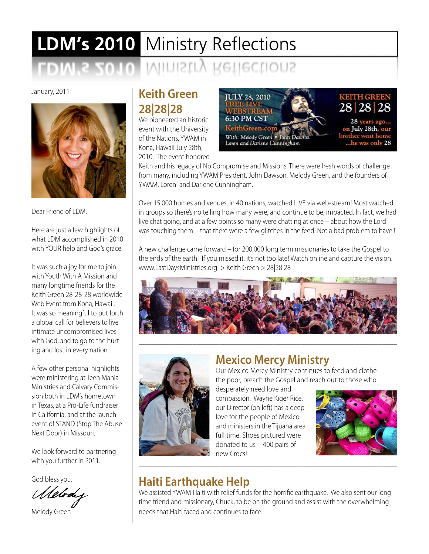# LDM's 2010 Ministry Reflections IVIINISTIY Ketlections

January, 2011



Dear Friend of LDM,

Here are just a few highlights of what LDM accomplished in 2010 with YOUR help and God's grace.

It was such a joy for me to join with Youth With A Mission and many longtime friends for the Keith Green 28-28-28 worldwide Web Event from Kona, Hawaii. It was so meaningful to put forth a global call for believers to live intimate uncompromised lives with God, and to go to the hurting and lost in every nation.

A few other personal highlights were ministering at Teen Mania Ministries and Calvary Commission both in LDM's hometown in Texas, at a Pro-Life fundraiser in California, and at the launch event of STAND (Stop The Abuse Next Door) in Missouri.

We look forward to partnering with you further in 2011.

God bless you,

(Shebra

Melody Green

## **Keith Green 28|28|28**

We pioneered an historic event with the University of the Nations, YWAM in Kona, Hawaii July 28th, 2010. The event honored



Keith and his legacy of No Compromise and Missions. There were fresh words of challenge from many, including YWAM President, John Dawson, Melody Green, and the founders of YWAM, Loren and Darlene Cunningham.

Over 15,000 homes and venues, in 40 nations, watched LIVE via web-stream! Most watched in groups so there's no telling how many were, and continue to be, impacted. In fact, we had live chat going, and at a few points so many were chatting at once – about how the Lord was touching them – that there were a few glitches in the feed. Not a bad problem to have!!

A new challenge came forward – for 200,000 long term missionaries to take the Gospel to the ends of the earth. If you missed it, it's not too late! Watch online and capture the vision. www.LastDaysMinistries.org > Keith Green > 28|28|28





## **Mexico Mercy Ministry**

\_\_\_\_\_\_\_\_\_\_\_\_\_\_\_\_\_\_\_\_\_\_\_\_\_\_\_\_\_\_\_\_\_\_\_\_\_\_\_\_\_\_\_\_\_\_\_\_\_\_\_\_\_\_\_\_\_\_\_\_\_\_\_\_\_\_\_

Our Mexico Mercy Ministry continues to feed and clothe the poor, preach the Gospel and reach out to those who

desperately need love and compassion. Wayne Kiger Rice, our Director (on left) has a deep love for the people of Mexico and ministers in the Tijuana area full time. Shoes pictured were donated to us – 400 pairs of new Crocs!



# **Haiti Earthquake Help**

We assisted YWAM Haiti with relief funds for the horrific earthquake. We also sent our long time friend and missionary, Chuck, to be on the ground and assist with the overwhelming needs that Haiti faced and continues to face.